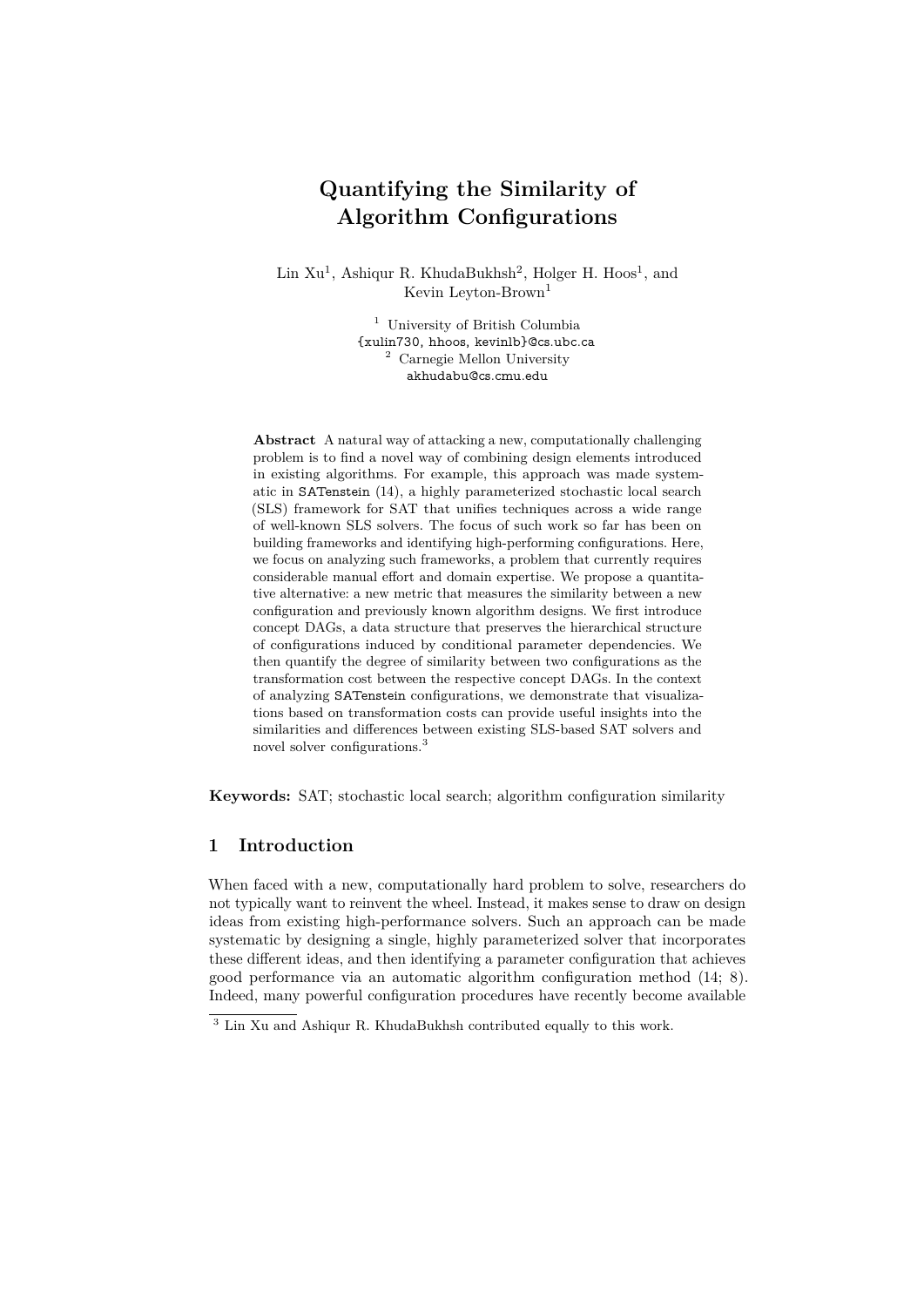# **Quantifying the Similarity of Algorithm Configurations**

Lin  $Xu^1$ , Ashiqur R. KhudaBukhsh<sup>2</sup>, Holger H. Hoos<sup>1</sup>, and Kevin Leyton-Brown<sup>1</sup>

> <sup>1</sup> University of British Columbia {xulin730, hhoos, kevinlb}@cs.ubc.ca <sup>2</sup> Carnegie Mellon University akhudabu@cs.cmu.edu

**Abstract** A natural way of attacking a new, computationally challenging problem is to find a novel way of combining design elements introduced in existing algorithms. For example, this approach was made systematic in SATenstein [\(14\)](#page-13-0), a highly parameterized stochastic local search (SLS) framework for SAT that unifies techniques across a wide range of well-known SLS solvers. The focus of such work so far has been on building frameworks and identifying high-performing configurations. Here, we focus on analyzing such frameworks, a problem that currently requires considerable manual effort and domain expertise. We propose a quantitative alternative: a new metric that measures the similarity between a new configuration and previously known algorithm designs. We first introduce concept DAGs, a data structure that preserves the hierarchical structure of configurations induced by conditional parameter dependencies. We then quantify the degree of similarity between two configurations as the transformation cost between the respective concept DAGs. In the context of analyzing SATenstein configurations, we demonstrate that visualizations based on transformation costs can provide useful insights into the similarities and differences between existing SLS-based SAT solvers and novel solver configurations.[3](#page-0-0)

**Keywords:** SAT; stochastic local search; algorithm configuration similarity

### **1 Introduction**

When faced with a new, computationally hard problem to solve, researchers do not typically want to reinvent the wheel. Instead, it makes sense to draw on design ideas from existing high-performance solvers. Such an approach can be made systematic by designing a single, highly parameterized solver that incorporates these different ideas, and then identifying a parameter configuration that achieves good performance via an automatic algorithm configuration method [\(14;](#page-13-0) [8\)](#page-13-1). Indeed, many powerful configuration procedures have recently become available

<span id="page-0-0"></span><sup>3</sup> Lin Xu and Ashiqur R. KhudaBukhsh contributed equally to this work.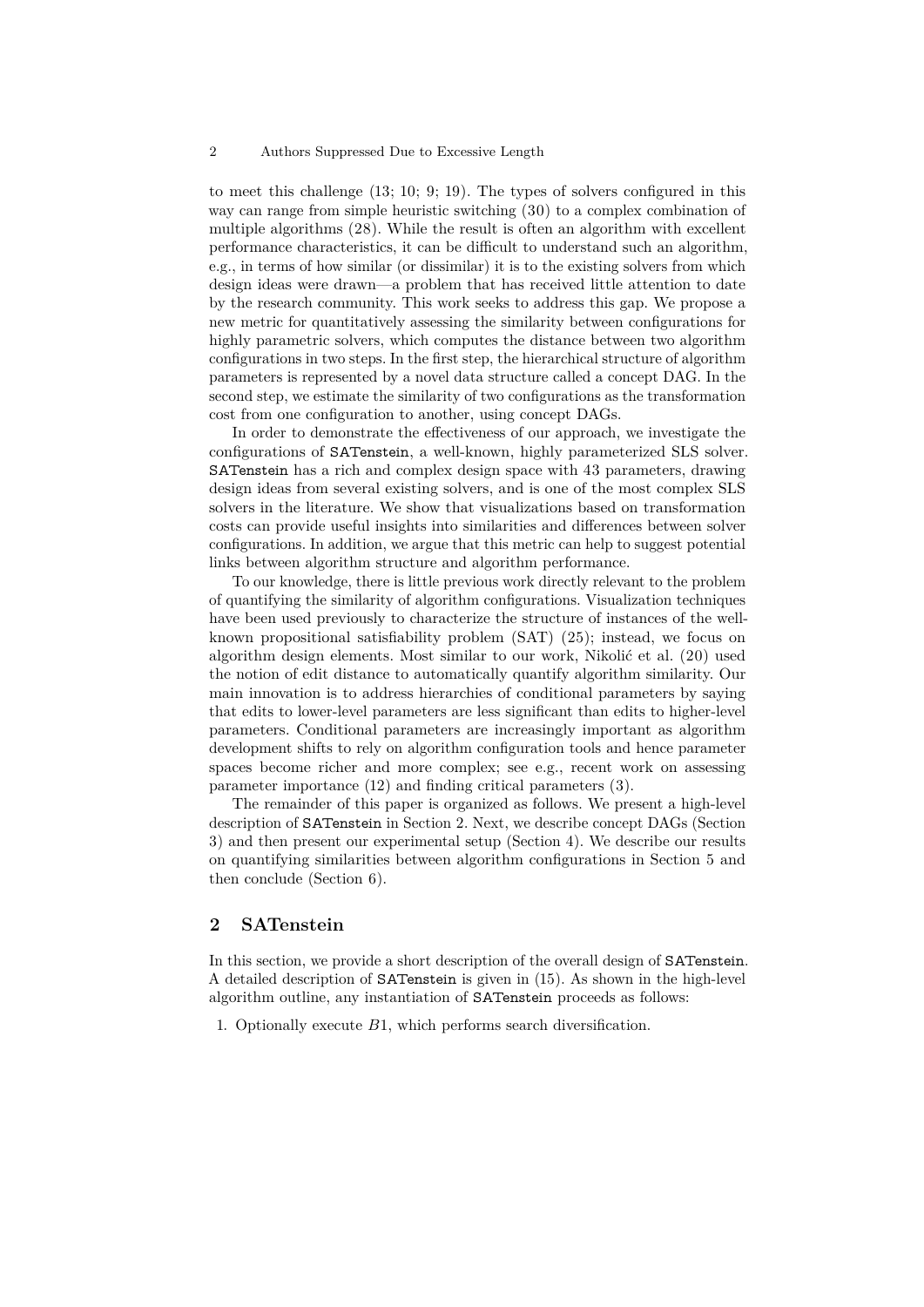#### 2 Authors Suppressed Due to Excessive Length

to meet this challenge [\(13;](#page-13-2) [10;](#page-13-3) [9;](#page-13-4) [19\)](#page-14-0). The types of solvers configured in this way can range from simple heuristic switching [\(30\)](#page-14-1) to a complex combination of multiple algorithms [\(28\)](#page-14-2). While the result is often an algorithm with excellent performance characteristics, it can be difficult to understand such an algorithm, e.g., in terms of how similar (or dissimilar) it is to the existing solvers from which design ideas were drawn—a problem that has received little attention to date by the research community. This work seeks to address this gap. We propose a new metric for quantitatively assessing the similarity between configurations for highly parametric solvers, which computes the distance between two algorithm configurations in two steps. In the first step, the hierarchical structure of algorithm parameters is represented by a novel data structure called a concept DAG. In the second step, we estimate the similarity of two configurations as the transformation cost from one configuration to another, using concept DAGs.

In order to demonstrate the effectiveness of our approach, we investigate the configurations of SATenstein, a well-known, highly parameterized SLS solver. SATenstein has a rich and complex design space with 43 parameters, drawing design ideas from several existing solvers, and is one of the most complex SLS solvers in the literature. We show that visualizations based on transformation costs can provide useful insights into similarities and differences between solver configurations. In addition, we argue that this metric can help to suggest potential links between algorithm structure and algorithm performance.

To our knowledge, there is little previous work directly relevant to the problem of quantifying the similarity of algorithm configurations. Visualization techniques have been used previously to characterize the structure of instances of the wellknown propositional satisfiability problem (SAT) [\(25\)](#page-14-3); instead, we focus on algorithm design elements. Most similar to our work, Nikolić et al. [\(20\)](#page-14-4) used the notion of edit distance to automatically quantify algorithm similarity. Our main innovation is to address hierarchies of conditional parameters by saying that edits to lower-level parameters are less significant than edits to higher-level parameters. Conditional parameters are increasingly important as algorithm development shifts to rely on algorithm configuration tools and hence parameter spaces become richer and more complex; see e.g., recent work on assessing parameter importance [\(12\)](#page-13-5) and finding critical parameters [\(3\)](#page-13-6).

The remainder of this paper is organized as follows. We present a high-level description of SATenstein in Section 2. Next, we describe concept DAGs (Section 3) and then present our experimental setup (Section 4). We describe our results on quantifying similarities between algorithm configurations in Section 5 and then conclude (Section 6).

### **2 SATenstein**

In this section, we provide a short description of the overall design of SATenstein. A detailed description of SATenstein is given in [\(15\)](#page-13-7). As shown in the high-level algorithm outline, any instantiation of SATenstein proceeds as follows:

1. Optionally execute *B*1, which performs search diversification.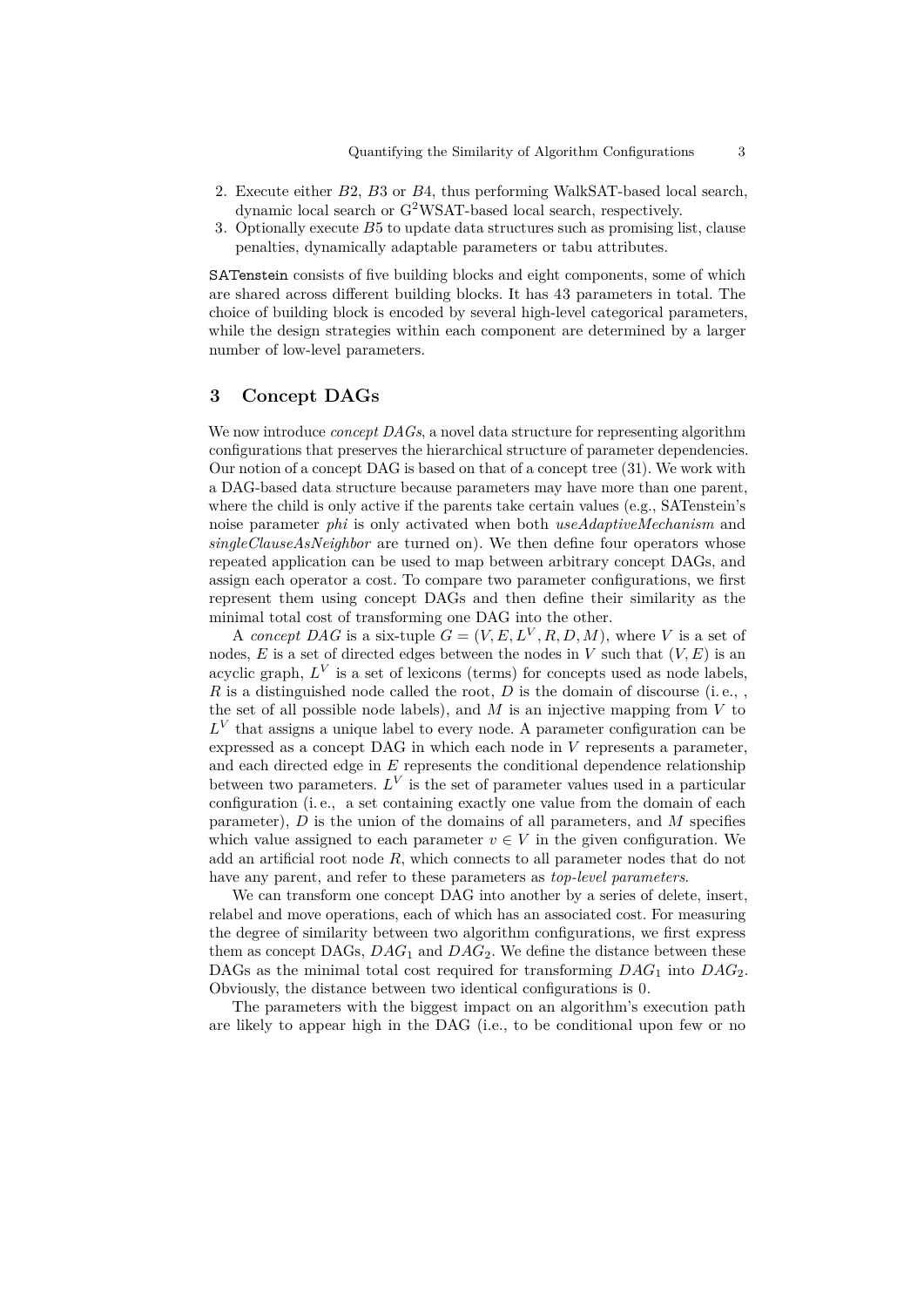- 2. Execute either *B*2, *B*3 or *B*4, thus performing WalkSAT-based local search, dynamic local search or G<sup>2</sup>WSAT-based local search, respectively.
- 3. Optionally execute *B*5 to update data structures such as promising list, clause penalties, dynamically adaptable parameters or tabu attributes.

SATenstein consists of five building blocks and eight components, some of which are shared across different building blocks. It has 43 parameters in total. The choice of building block is encoded by several high-level categorical parameters, while the design strategies within each component are determined by a larger number of low-level parameters.

#### **3 Concept DAGs**

We now introduce *concept DAGs*, a novel data structure for representing algorithm configurations that preserves the hierarchical structure of parameter dependencies. Our notion of a concept DAG is based on that of a concept tree [\(31\)](#page-14-5). We work with a DAG-based data structure because parameters may have more than one parent, where the child is only active if the parents take certain values (e.g., SATenstein's noise parameter *phi* is only activated when both *useAdaptiveMechanism* and *singleClauseAsNeighbor* are turned on). We then define four operators whose repeated application can be used to map between arbitrary concept DAGs, and assign each operator a cost. To compare two parameter configurations, we first represent them using concept DAGs and then define their similarity as the minimal total cost of transforming one DAG into the other.

A *concept DAG* is a six-tuple  $G = (V, E, L^V, R, D, M)$ , where V is a set of nodes,  $E$  is a set of directed edges between the nodes in  $V$  such that  $(V, E)$  is an acyclic graph,  $L^V$  is a set of lexicons (terms) for concepts used as node labels, *R* is a distinguished node called the root, *D* is the domain of discourse (i. e., , the set of all possible node labels), and *M* is an injective mapping from *V* to  $L^V$  that assigns a unique label to every node. A parameter configuration can be expressed as a concept DAG in which each node in *V* represents a parameter, and each directed edge in *E* represents the conditional dependence relationship between two parameters.  $L^V$  is the set of parameter values used in a particular configuration (i. e., a set containing exactly one value from the domain of each parameter), *D* is the union of the domains of all parameters, and *M* specifies which value assigned to each parameter  $v \in V$  in the given configuration. We add an artificial root node *R*, which connects to all parameter nodes that do not have any parent, and refer to these parameters as *top-level parameters*.

We can transform one concept DAG into another by a series of delete, insert, relabel and move operations, each of which has an associated cost. For measuring the degree of similarity between two algorithm configurations, we first express them as concept DAGs,  $DAG_1$  and  $DAG_2$ . We define the distance between these DAGs as the minimal total cost required for transforming  $DAG_1$  into  $DAG_2$ . Obviously, the distance between two identical configurations is 0.

The parameters with the biggest impact on an algorithm's execution path are likely to appear high in the DAG (i.e., to be conditional upon few or no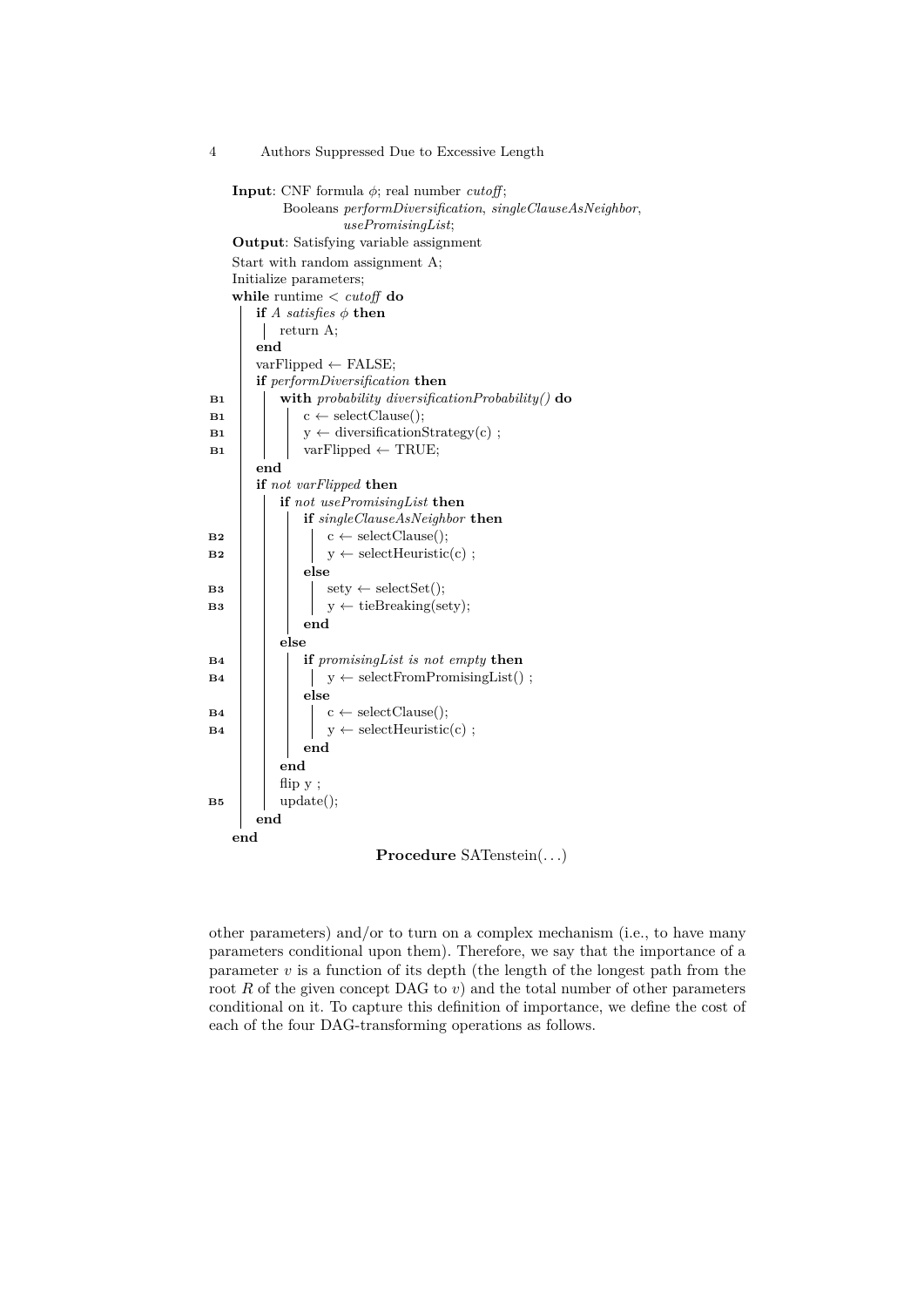**Input**: CNF formula *ϕ*; real number *cutoff*; Booleans *performDiversification*, *singleClauseAsNeighbor*, *usePromisingList*; **Output**: Satisfying variable assignment Start with random assignment A; Initialize parameters; **while** runtime *< cutoff* **do if** *A satisfies ϕ* **then** return A; **end**  $varFlipped \leftarrow FALSE;$ **if** *performDiversification* **then B1 with** *probability diversificationProbability()* **do B1**  $\vert$   $\vert$  **c**  $\leftarrow$  selectClause(); **B1**  $\vert \vert \vert$  y ← diversificationStrategy(c); **B1**  $\vert$   $\vert$  varFlipped  $\leftarrow$  TRUE; **end if** *not varFlipped* **then if** *not usePromisingList* **then if** *singleClauseAsNeighbor* **then B2** c ← selectClause(); **B2**  $\vert \vert \vert \vert$  y  $\leftarrow$  selectHeuristic(c); **else**  $\mathbf{B3}$  | | | sety  $\leftarrow$  selectSet(); **B3**  $\vert \vert \vert \vert \psi \rangle$  + tieBreaking(sety); **end else B4 if** *promisingList is not empty* **then**  $\mathbf{B4}$  | | |  $\mathbf{y} \leftarrow \text{selectFromPromisingList}()$ ; **else**  $\mathbf{B4}$  | | |  $\mathbf{c} \leftarrow \text{selectClause}$ (); **B4** y ← selectHeuristic(c) ; **end end** flip  $y$ ;  $\mathbf{B5}$  | update(); **end end**

4 Authors Suppressed Due to Excessive Length

**Procedure** SATenstein(*. . .*)

other parameters) and/or to turn on a complex mechanism (i.e., to have many parameters conditional upon them). Therefore, we say that the importance of a parameter  $v$  is a function of its depth (the length of the longest path from the root  $R$  of the given concept DAG to  $v$ ) and the total number of other parameters conditional on it. To capture this definition of importance, we define the cost of each of the four DAG-transforming operations as follows.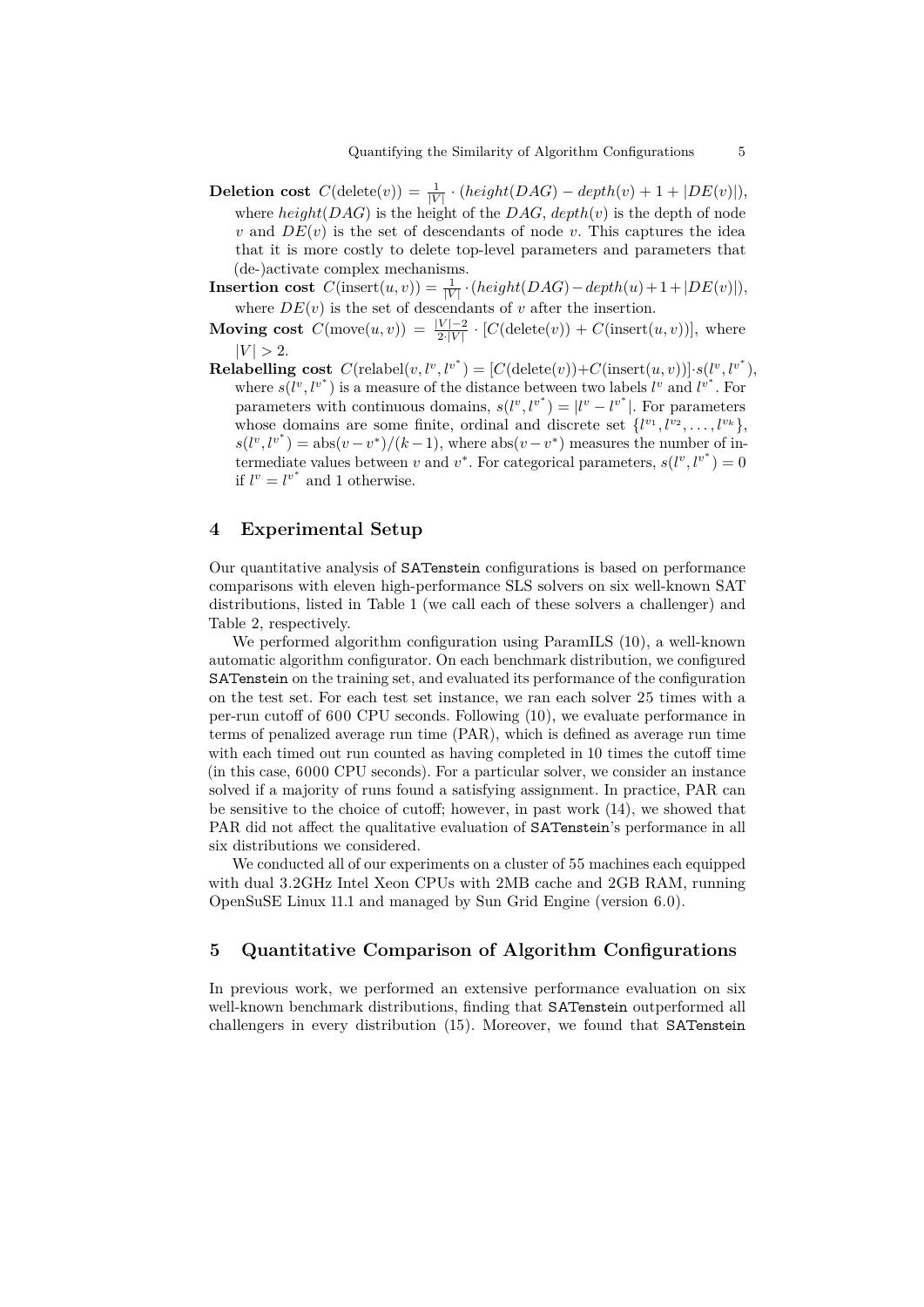**Deletion cost**  $C$ (delete(*v*)) =  $\frac{1}{|V|} \cdot (height(DAG) - depth(v) + 1 + |DE(v)|),$ where  $height(DAG)$  is the height of the *DAG*,  $depth(v)$  is the depth of node *v* and  $DE(v)$  is the set of descendants of node *v*. This captures the idea that it is more costly to delete top-level parameters and parameters that (de-)activate complex mechanisms.

**Insertion cost**  $C(\text{insert}(u, v)) = \frac{1}{|V|} \cdot (height(DAG) - depth(u) + 1 + |DE(v)|),$ where  $DE(v)$  is the set of descendants of *v* after the insertion.

- **Moving cost**  $C(\text{move}(u, v)) = \frac{|V| 2}{2 \cdot |V|} \cdot [C(\text{delete}(v)) + C(\text{insert}(u, v))],$  where  $|V| > 2.$
- **Relabelling cost**  $C(\text{relabel}(v, l^v, l^{v^*}) = [C(\text{delete}(v)) + C(\text{insert}(u, v))] \cdot s(l^v, l^{v^*}),$ where  $s(l^v, l^{v^*})$  is a measure of the distance between two labels  $l^v$  and  $l^{v^*}$ . For parameters with continuous domains,  $s(l^v, l^{v^*}) = |l^v - l^{v^*}|$ . For parameters whose domains are some finite, ordinal and discrete set  $\{l^{v_1}, l^{v_2}, \ldots, l^{v_k}\},\$  $s(l^v, l^{v^*}) = \text{abs}(v - v^*)/(k-1)$ , where  $\text{abs}(v - v^*)$  measures the number of intermediate values between *v* and *v*<sup>\*</sup>. For categorical parameters,  $s(l^v, l^{v^*}) = 0$ if  $l^v = l^{v^*}$  and 1 otherwise.

### **4 Experimental Setup**

Our quantitative analysis of SATenstein configurations is based on performance comparisons with eleven high-performance SLS solvers on six well-known SAT distributions, listed in Table [1](#page-5-0) (we call each of these solvers a challenger) and Table [2,](#page-5-1) respectively.

We performed algorithm configuration using ParamILS [\(10\)](#page-13-3), a well-known automatic algorithm configurator. On each benchmark distribution, we configured SATenstein on the training set, and evaluated its performance of the configuration on the test set. For each test set instance, we ran each solver 25 times with a per-run cutoff of 600 CPU seconds. Following [\(10\)](#page-13-3), we evaluate performance in terms of penalized average run time (PAR), which is defined as average run time with each timed out run counted as having completed in 10 times the cutoff time (in this case, 6000 CPU seconds). For a particular solver, we consider an instance solved if a majority of runs found a satisfying assignment. In practice, PAR can be sensitive to the choice of cutoff; however, in past work [\(14\)](#page-13-0), we showed that PAR did not affect the qualitative evaluation of SATenstein's performance in all six distributions we considered.

We conducted all of our experiments on a cluster of 55 machines each equipped with dual 3.2GHz Intel Xeon CPUs with 2MB cache and 2GB RAM, running OpenSuSE Linux 11.1 and managed by Sun Grid Engine (version 6.0).

#### **5 Quantitative Comparison of Algorithm Configurations**

In previous work, we performed an extensive performance evaluation on six well-known benchmark distributions, finding that SATenstein outperformed all challengers in every distribution [\(15\)](#page-13-7). Moreover, we found that SATenstein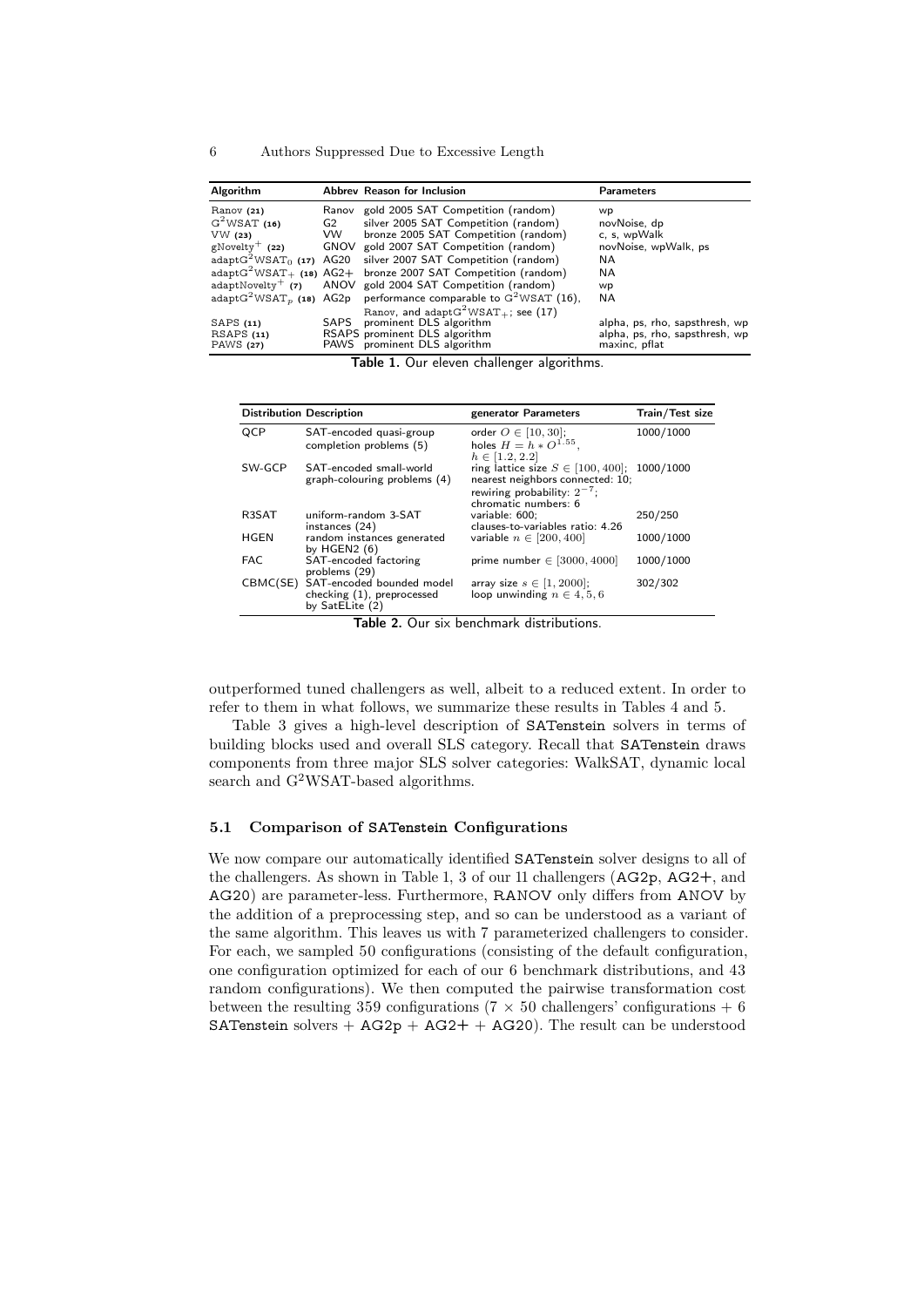#### 6 Authors Suppressed Due to Excessive Length

<span id="page-5-0"></span>

| <b>Algorithm</b>                |       | Abbrey Reason for Inclusion                                           | <b>Parameters</b>              |
|---------------------------------|-------|-----------------------------------------------------------------------|--------------------------------|
| Ranov (21)                      | Ranov | gold 2005 SAT Competition (random)                                    | wp                             |
| $G^2WSAT$ (16)                  | G2    | silver 2005 SAT Competition (random)                                  | novNoise, dp                   |
| VW(23)                          | VW    | bronze 2005 SAT Competition (random)                                  | c, s, wpWalk                   |
| $g$ Novelty <sup>+</sup> (22)   |       | GNOV gold 2007 SAT Competition (random)                               | novNoise, wpWalk, ps           |
| adapt $G^2WSAT_0$ (17) AG20     |       | silver 2007 SAT Competition (random)                                  | NA                             |
|                                 |       | $adaptG2WSAT+$ (18) AG2+ bronze 2007 SAT Competition (random)         | NA                             |
| $adaptNovelty$ <sup>+</sup> (7) |       | ANOV gold 2004 SAT Competition (random)                               | wp                             |
|                                 |       | adapt $G^2WSAT_p$ (18) AG2p performance comparable to $G^2WSAT$ (16), | <b>NA</b>                      |
|                                 |       | Ranov, and adaptG <sup>2</sup> WSAT <sub>+</sub> ; see (17)           |                                |
| SAPS $(11)$                     | SAPS  | prominent DLS algorithm                                               | alpha, ps, rho, sapsthresh, wp |
| RSAPS(11)                       |       | RSAPS prominent DLS algorithm                                         | alpha, ps, rho, sapsthresh, wp |
| <b>PAWS</b> (27)                |       | PAWS prominent DLS algorithm                                          | maxinc, pflat                  |

Table 1. Our eleven challenger algorithms.

<span id="page-5-1"></span>

|             | <b>Distribution Description</b>                                                     | generator Parameters                                                                                                                             | Train/Test size |
|-------------|-------------------------------------------------------------------------------------|--------------------------------------------------------------------------------------------------------------------------------------------------|-----------------|
| QCP         | SAT-encoded quasi-group<br>completion problems (5)                                  | order $O \in [10, 30]$ ;<br>holes $H = h * O^{1.55}$ ,<br>$h \in [1.2, 2.2]$                                                                     | 1000/1000       |
| SW-GCP      | SAT-encoded small-world<br>graph-colouring problems (4)                             | ring lattice size $S \in [100, 400]$ ; 1000/1000<br>nearest neighbors connected: 10:<br>rewiring probability: $2^{-7}$ :<br>chromatic numbers: 6 |                 |
| R3SAT       | uniform-random 3-SAT<br>instances $(24)$                                            | variable: 600;<br>clauses-to-variables ratio: 4.26                                                                                               | 250/250         |
| <b>HGEN</b> | random instances generated<br>by $HGEN2(6)$                                         | variable $n \in [200, 400]$                                                                                                                      | 1000/1000       |
| FAC.        | SAT-encoded factoring<br>problems (29)                                              | prime number $\in$ [3000, 4000]                                                                                                                  | 1000/1000       |
|             | CBMC(SE) SAT-encoded bounded model<br>checking (1), preprocessed<br>by SatELite (2) | array size $s \in [1, 2000]$ ;<br>loop unwinding $n \in 4, 5, 6$                                                                                 | 302/302         |

Table 2. Our six benchmark distributions.

outperformed tuned challengers as well, albeit to a reduced extent. In order to refer to them in what follows, we summarize these results in Tables [4](#page-6-0) and [5.](#page-7-0)

Table [3](#page-6-1) gives a high-level description of SATenstein solvers in terms of building blocks used and overall SLS category. Recall that SATenstein draws components from three major SLS solver categories: WalkSAT, dynamic local search and G<sup>2</sup>WSAT-based algorithms.

#### **5.1 Comparison of SATenstein Configurations**

We now compare our automatically identified SATenstein solver designs to all of the challengers. As shown in Table [1,](#page-5-0) 3 of our 11 challengers (AG2p, AG2+, and AG20) are parameter-less. Furthermore, RANOV only differs from ANOV by the addition of a preprocessing step, and so can be understood as a variant of the same algorithm. This leaves us with 7 parameterized challengers to consider. For each, we sampled 50 configurations (consisting of the default configuration, one configuration optimized for each of our 6 benchmark distributions, and 43 random configurations). We then computed the pairwise transformation cost between the resulting 359 configurations (7  $\times$  50 challengers' configurations + 6 SATenstein solvers +  $AG2p + AG2+ + AG20$ ). The result can be understood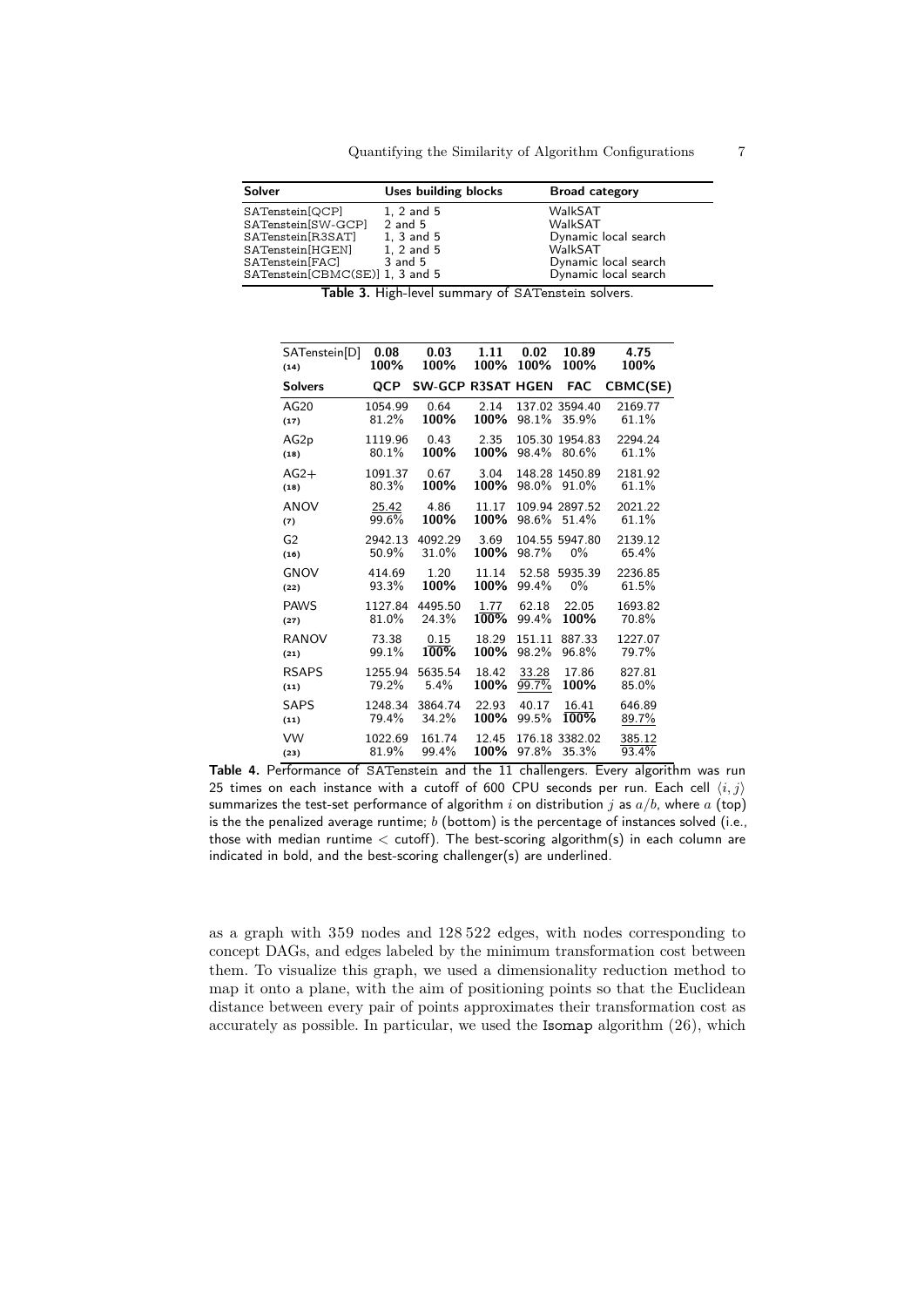<span id="page-6-1"></span>

| Solver                                                                                                                               | Uses building blocks                                                    | <b>Broad category</b>                                                                                 |
|--------------------------------------------------------------------------------------------------------------------------------------|-------------------------------------------------------------------------|-------------------------------------------------------------------------------------------------------|
| SATenstein[QCP]<br>SATenstein[SW-GCP]<br>SATenstein[R3SAT]<br>SATenstein[HGEN]<br>SATenstein[FAC]<br>SATenstein[CBMC(SE)] 1, 3 and 5 | 1. 2 and 5<br>$2$ and $5$<br>$1, 3$ and $5$<br>$1.2$ and $5$<br>3 and 5 | WalkSAT<br>WalkSAT<br>Dynamic local search<br>WalkSAT<br>Dynamic local search<br>Dynamic local search |

Table 3. High-level summary of SATenstein solvers.

<span id="page-6-0"></span>

| SATenstein[D]    | 0.08       | 0.03                     | 1.11  | 0.02   | 10.89          | 4.75     |
|------------------|------------|--------------------------|-------|--------|----------------|----------|
| (14)             | 100%       | 100%                     | 100%  | 100%   | 100%           | 100%     |
| <b>Solvers</b>   | <b>QCP</b> | <b>SW-GCP R3SAT HGEN</b> |       |        | <b>FAC</b>     | CBMC(SE) |
| AG20             | 1054.99    | 0.64                     | 2.14  | 98.1%  | 137.02 3594.40 | 2169.77  |
| (17)             | 81.2%      | 100%                     | 100%  |        | 35.9%          | 61.1%    |
| AG <sub>2p</sub> | 1119.96    | 0.43                     | 2.35  | 98.4%  | 105.30 1954.83 | 2294.24  |
| (18)             | 80.1%      | 100%                     | 100%  |        | 80.6%          | 61.1%    |
| $AG2+$           | 1091.37    | 0.67                     | 3.04  | 98.0%  | 148.28 1450.89 | 2181.92  |
| (18)             | 80.3%      | 100%                     | 100%  |        | 91.0%          | 61.1%    |
| <b>ANOV</b>      | 25.42      | 4.86                     | 11.17 | 98.6%  | 109.94 2897.52 | 2021.22  |
| (7)              | 99.6%      | 100%                     | 100%  |        | 51.4%          | 61.1%    |
| G <sub>2</sub>   | 2942.13    | 4092.29                  | 3.69  | 98.7%  | 104.55 5947.80 | 2139.12  |
| (16)             | 50.9%      | 31.0%                    | 100%  |        | $0\%$          | 65.4%    |
| <b>GNOV</b>      | 414.69     | 1.20                     | 11.14 | 52.58  | 5935.39        | 2236.85  |
| (22)             | 93.3%      | 100%                     | 100%  | 99.4%  | $0\%$          | 61.5%    |
| <b>PAWS</b>      | 1127.84    | 4495.50                  | 1.77  | 62.18  | 22.05          | 1693.82  |
| (27)             | 81.0%      | 24.3%                    | 100%  | 99.4%  | 100%           | 70.8%    |
| <b>RANOV</b>     | 73.38      | 0.15                     | 18.29 | 151.11 | 887.33         | 1227.07  |
| (21)             | 99.1%      | 100%                     | 100%  | 98.2%  | 96.8%          | 79.7%    |
| <b>RSAPS</b>     | 1255.94    | 5635.54                  | 18.42 | 33.28  | 17.86          | 827.81   |
| (11)             | 79.2%      | 5.4%                     | 100%  | 99.7%  | 100%           | 85.0%    |
| <b>SAPS</b>      | 1248.34    | 3864.74                  | 22.93 | 40.17  | 16.41          | 646.89   |
| (11)             | 79.4%      | 34.2%                    | 100%  | 99.5%  | 100%           | 89.7%    |
| VW               | 1022.69    | 161.74                   | 12.45 | 176.18 | 3382.02        | 385.12   |
| (23)             | 81.9%      | 99.4%                    | 100%  | 97.8%  | 35.3%          | 93.4%    |

Table 4. Performance of SATenstein and the 11 challengers. Every algorithm was run 25 times on each instance with a cutoff of 600 CPU seconds per run. Each cell  $\langle i, j \rangle$ summarizes the test-set performance of algorithm *i* on distribution *j* as *a/b*, where *a* (top) is the the penalized average runtime; *b* (bottom) is the percentage of instances solved (i.e., those with median runtime *<* cutoff). The best-scoring algorithm(s) in each column are indicated in bold, and the best-scoring challenger(s) are underlined.

as a graph with 359 nodes and 128 522 edges, with nodes corresponding to concept DAGs, and edges labeled by the minimum transformation cost between them. To visualize this graph, we used a dimensionality reduction method to map it onto a plane, with the aim of positioning points so that the Euclidean distance between every pair of points approximates their transformation cost as accurately as possible. In particular, we used the Isomap algorithm [\(26\)](#page-14-15), which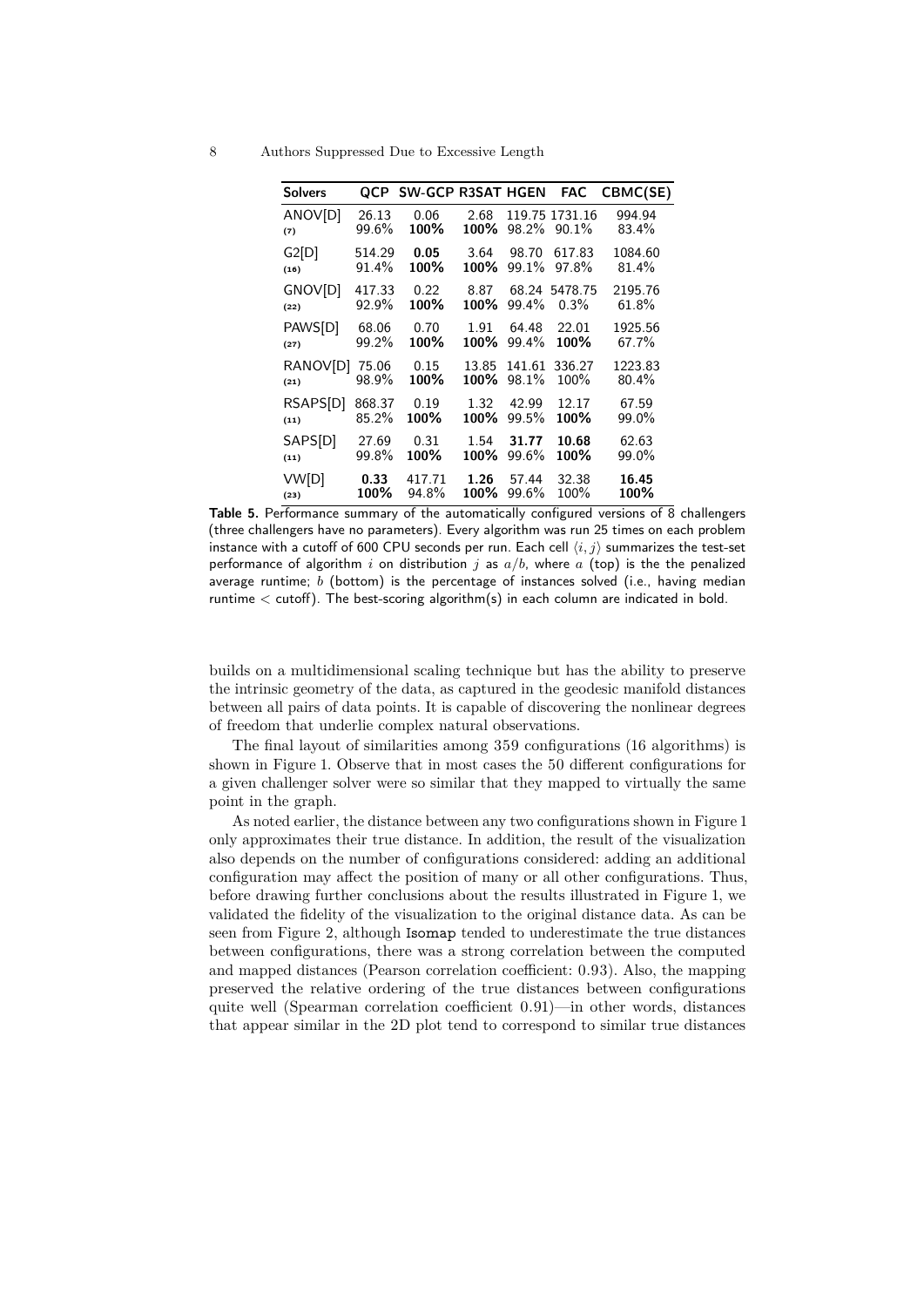<span id="page-7-0"></span>8 Authors Suppressed Due to Excessive Length

| <b>Solvers</b> | <b>QCP</b> | <b>SW-GCP R3SAT HGEN</b> |       |        | <b>FAC</b>     | CBMC(SE) |
|----------------|------------|--------------------------|-------|--------|----------------|----------|
| ANOV[D]        | 26.13      | 0.06                     | 2.68  | 98.2%  | 119.75 1731.16 | 994.94   |
| (7)            | 99.6%      | 100%                     | 100%  |        | 90.1%          | 83.4%    |
| G2[D]          | 514.29     | 0.05                     | 3.64  | 98.70  | 617.83         | 1084.60  |
| (16)           | 91.4%      | 100%                     | 100%  | 99.1%  | 97.8%          | 81.4%    |
| GNOV[D]        | 417.33     | 0.22                     | 8.87  | 68.24  | 5478.75        | 2195.76  |
| (22)           | 92.9%      | 100%                     | 100%  | 99.4%  | 0.3%           | 61.8%    |
| PAWS[D]        | 68.06      | 0.70                     | 1.91  | 64.48  | 22.01          | 1925.56  |
| (27)           | 99.2%      | 100%                     | 100%  | 99.4%  | 100%           | 67.7%    |
| RANOV[D]       | 75.06      | 0.15                     | 13.85 | 141.61 | 336.27         | 1223.83  |
| (21)           | 98.9%      | 100%                     | 100%  | 98.1%  | 100%           | 80.4%    |
| RSAPS[D]       | 868.37     | 0.19                     | 1.32  | 42.99  | 12.17          | 67.59    |
| (11)           | 85.2%      | 100%                     | 100%  | 99.5%  | 100%           | 99.0%    |
| SAPS[D]        | 27.69      | 0.31                     | 1.54  | 31.77  | 10.68          | 62.63    |
| (11)           | 99.8%      | 100%                     | 100%  | 99.6%  | 100%           | 99.0%    |
| VW[D]          | 0.33       | 417.71                   | 1.26  | 57.44  | 32.38          | 16.45    |
| (23)           | 100%       | 94.8%                    | 100%  | 99.6%  | 100%           | 100%     |

Table 5. Performance summary of the automatically configured versions of 8 challengers (three challengers have no parameters). Every algorithm was run 25 times on each problem instance with a cutoff of 600 CPU seconds per run. Each cell ⟨*i, j*⟩ summarizes the test-set performance of algorithm *i* on distribution *j* as *a/b*, where *a* (top) is the the penalized average runtime; *b* (bottom) is the percentage of instances solved (i.e., having median runtime *<* cutoff). The best-scoring algorithm(s) in each column are indicated in bold.

builds on a multidimensional scaling technique but has the ability to preserve the intrinsic geometry of the data, as captured in the geodesic manifold distances between all pairs of data points. It is capable of discovering the nonlinear degrees of freedom that underlie complex natural observations.

The final layout of similarities among 359 configurations (16 algorithms) is shown in Figure [1.](#page-8-0) Observe that in most cases the 50 different configurations for a given challenger solver were so similar that they mapped to virtually the same point in the graph.

As noted earlier, the distance between any two configurations shown in Figure [1](#page-8-0) only approximates their true distance. In addition, the result of the visualization also depends on the number of configurations considered: adding an additional configuration may affect the position of many or all other configurations. Thus, before drawing further conclusions about the results illustrated in Figure [1,](#page-8-0) we validated the fidelity of the visualization to the original distance data. As can be seen from Figure [2,](#page-9-0) although Isomap tended to underestimate the true distances between configurations, there was a strong correlation between the computed and mapped distances (Pearson correlation coefficient: 0.93). Also, the mapping preserved the relative ordering of the true distances between configurations quite well (Spearman correlation coefficient 0.91)—in other words, distances that appear similar in the 2D plot tend to correspond to similar true distances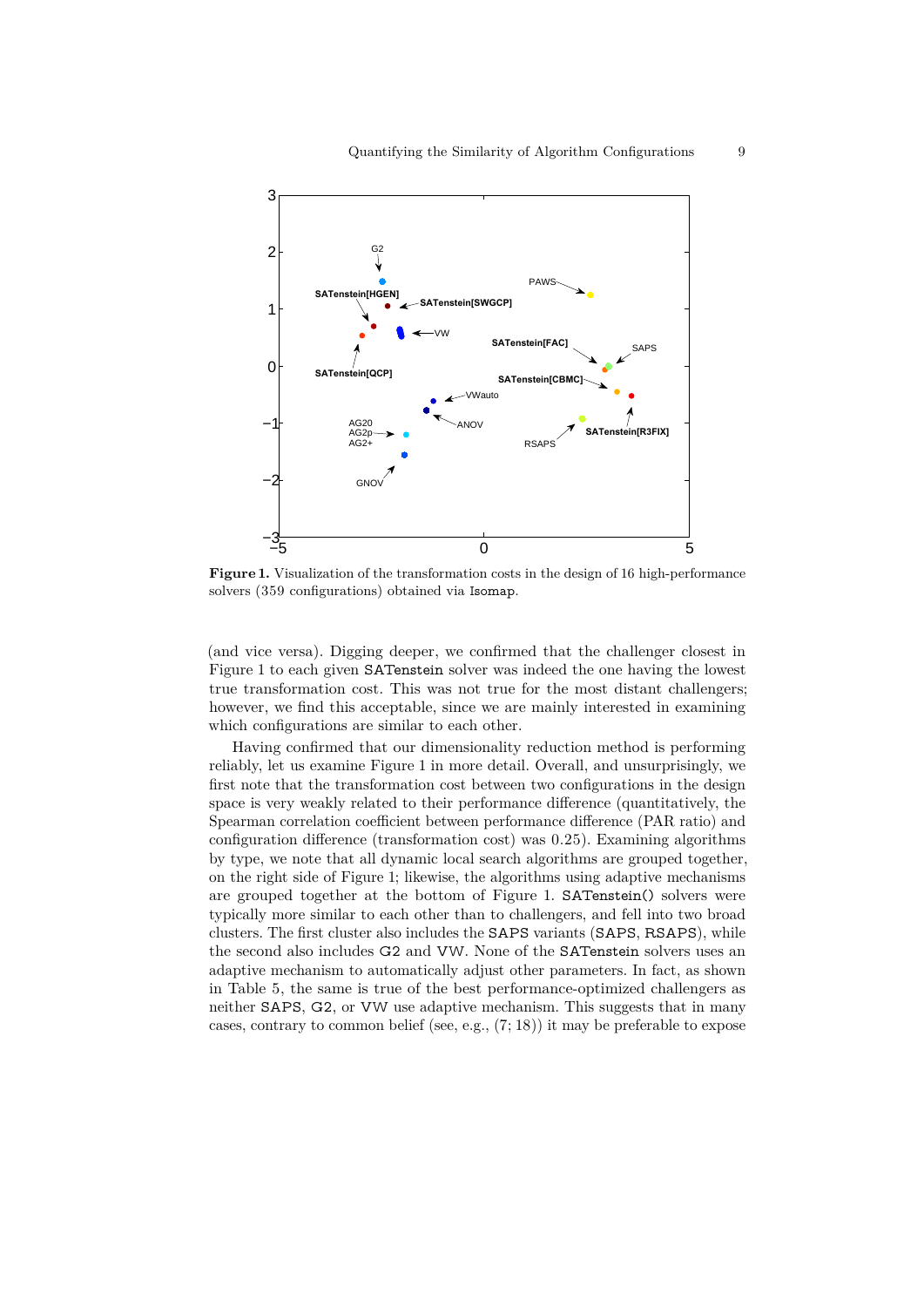<span id="page-8-0"></span>

**Figure 1.** Visualization of the transformation costs in the design of 16 high-performance solvers (359 configurations) obtained via Isomap.

(and vice versa). Digging deeper, we confirmed that the challenger closest in Figure [1](#page-8-0) to each given SATenstein solver was indeed the one having the lowest true transformation cost. This was not true for the most distant challengers; however, we find this acceptable, since we are mainly interested in examining which configurations are similar to each other.

Having confirmed that our dimensionality reduction method is performing reliably, let us examine Figure [1](#page-8-0) in more detail. Overall, and unsurprisingly, we first note that the transformation cost between two configurations in the design space is very weakly related to their performance difference (quantitatively, the Spearman correlation coefficient between performance difference (PAR ratio) and configuration difference (transformation cost) was 0.25). Examining algorithms by type, we note that all dynamic local search algorithms are grouped together, on the right side of Figure [1;](#page-8-0) likewise, the algorithms using adaptive mechanisms are grouped together at the bottom of Figure [1.](#page-8-0) SATenstein() solvers were typically more similar to each other than to challengers, and fell into two broad clusters. The first cluster also includes the SAPS variants (SAPS, RSAPS), while the second also includes G2 and VW. None of the SATenstein solvers uses an adaptive mechanism to automatically adjust other parameters. In fact, as shown in Table [5,](#page-7-0) the same is true of the best performance-optimized challengers as neither SAPS, G2, or VW use adaptive mechanism. This suggests that in many cases, contrary to common belief (see, e.g., [\(7;](#page-13-8) [18\)](#page-14-11)) it may be preferable to expose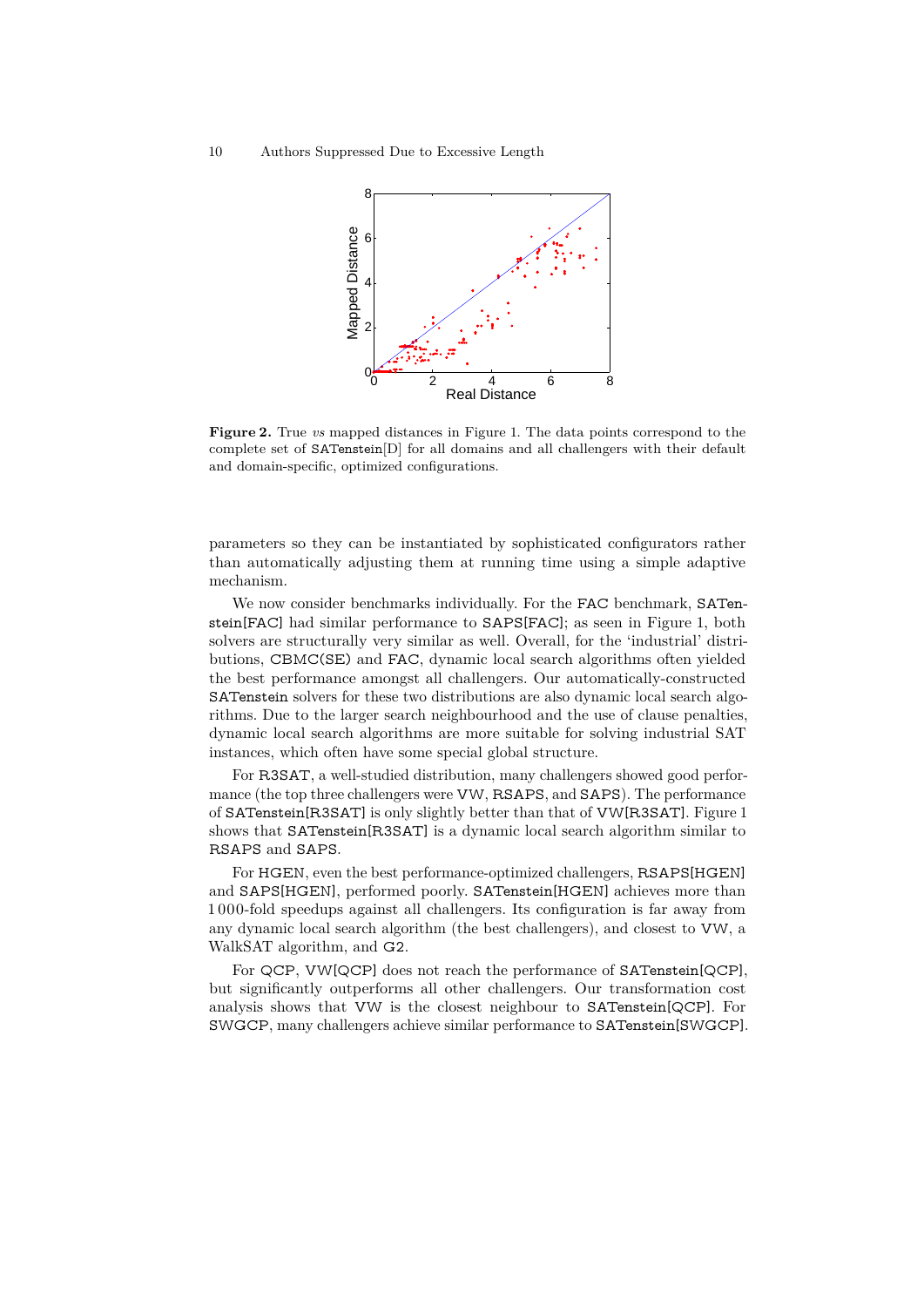<span id="page-9-0"></span>

**Figure 2.** True *vs* mapped distances in Figure [1.](#page-8-0) The data points correspond to the complete set of SATenstein[D] for all domains and all challengers with their default and domain-specific, optimized configurations.

parameters so they can be instantiated by sophisticated configurators rather than automatically adjusting them at running time using a simple adaptive mechanism.

We now consider benchmarks individually. For the FAC benchmark, SATenstein[FAC] had similar performance to SAPS[FAC]; as seen in Figure [1,](#page-8-0) both solvers are structurally very similar as well. Overall, for the 'industrial' distributions, CBMC(SE) and FAC, dynamic local search algorithms often yielded the best performance amongst all challengers. Our automatically-constructed SATenstein solvers for these two distributions are also dynamic local search algorithms. Due to the larger search neighbourhood and the use of clause penalties, dynamic local search algorithms are more suitable for solving industrial SAT instances, which often have some special global structure.

For R3SAT, a well-studied distribution, many challengers showed good performance (the top three challengers were VW, RSAPS, and SAPS). The performance of SATenstein[R3SAT] is only slightly better than that of VW[R3SAT]. Figure [1](#page-8-0) shows that SATenstein[R3SAT] is a dynamic local search algorithm similar to RSAPS and SAPS.

For HGEN, even the best performance-optimized challengers, RSAPS[HGEN] and SAPS[HGEN], performed poorly. SATenstein[HGEN] achieves more than 1 000-fold speedups against all challengers. Its configuration is far away from any dynamic local search algorithm (the best challengers), and closest to VW, a WalkSAT algorithm, and G2.

For QCP, VW[QCP] does not reach the performance of SATenstein[QCP], but significantly outperforms all other challengers. Our transformation cost analysis shows that VW is the closest neighbour to SATenstein[QCP]. For SWGCP, many challengers achieve similar performance to SATenstein[SWGCP].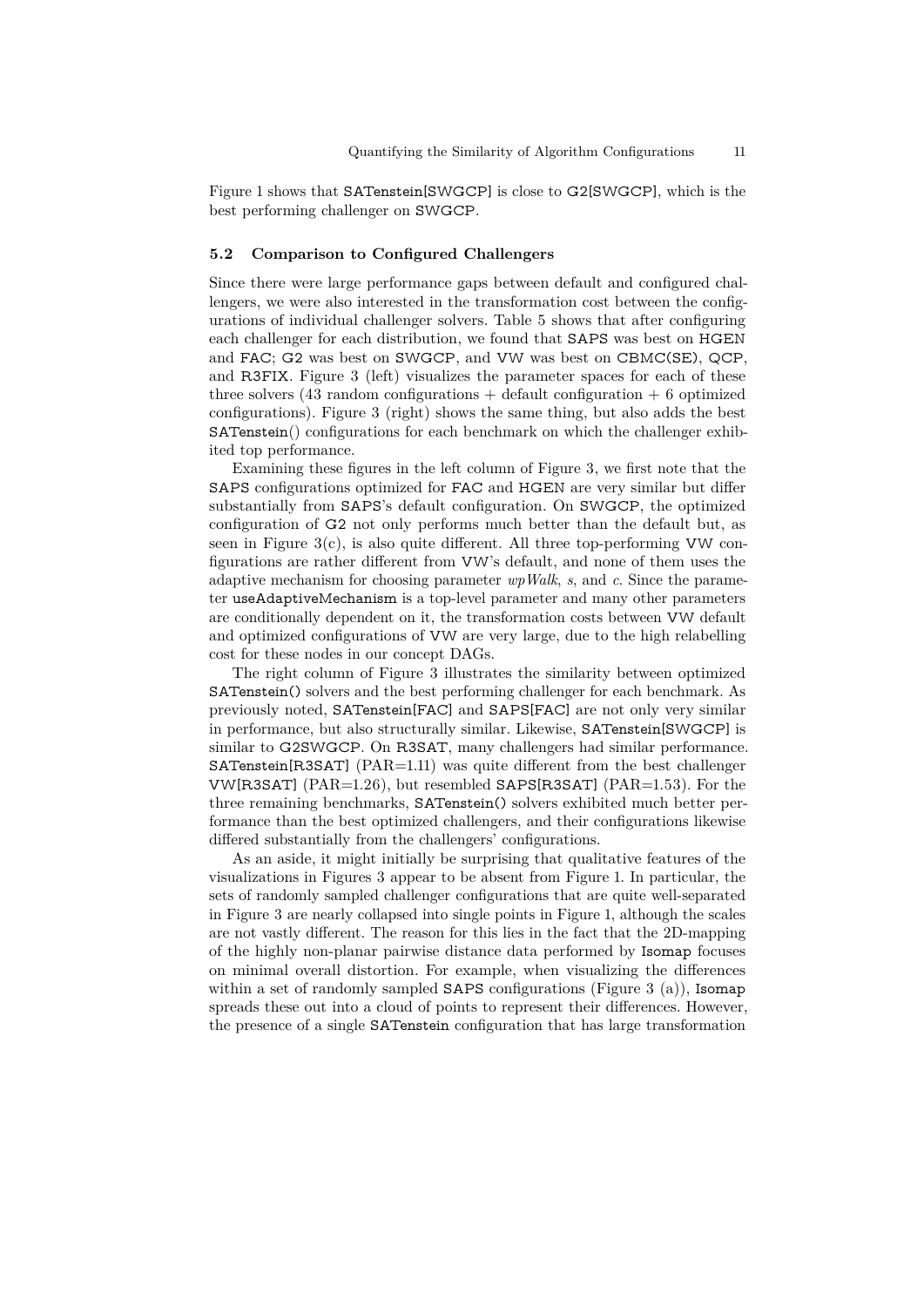Figure [1](#page-8-0) shows that SATenstein[SWGCP] is close to G2[SWGCP], which is the best performing challenger on SWGCP.

#### **5.2 Comparison to Configured Challengers**

Since there were large performance gaps between default and configured challengers, we were also interested in the transformation cost between the configurations of individual challenger solvers. Table [5](#page-7-0) shows that after configuring each challenger for each distribution, we found that SAPS was best on HGEN and FAC; G2 was best on SWGCP, and VW was best on CBMC(SE), QCP, and R3FIX. Figure [3](#page-11-0) (left) visualizes the parameter spaces for each of these three solvers (43 random configurations  $+$  default configuration  $+$  6 optimized configurations). Figure [3](#page-11-0) (right) shows the same thing, but also adds the best SATenstein() configurations for each benchmark on which the challenger exhibited top performance.

Examining these figures in the left column of Figure [3,](#page-11-0) we first note that the SAPS configurations optimized for FAC and HGEN are very similar but differ substantially from SAPS's default configuration. On SWGCP, the optimized configuration of G2 not only performs much better than the default but, as seen in Figure  $3(c)$ , is also quite different. All three top-performing VW configurations are rather different from VW's default, and none of them uses the adaptive mechanism for choosing parameter *wpWalk*, *s*, and *c*. Since the parameter useAdaptiveMechanism is a top-level parameter and many other parameters are conditionally dependent on it, the transformation costs between VW default and optimized configurations of VW are very large, due to the high relabelling cost for these nodes in our concept DAGs.

The right column of Figure [3](#page-11-0) illustrates the similarity between optimized SATenstein() solvers and the best performing challenger for each benchmark. As previously noted, SATenstein[FAC] and SAPS[FAC] are not only very similar in performance, but also structurally similar. Likewise, SATenstein[SWGCP] is similar to G2SWGCP. On R3SAT, many challengers had similar performance. SATenstein[R3SAT] (PAR=1.11) was quite different from the best challenger VW[R3SAT] (PAR=1.26), but resembled SAPS[R3SAT] (PAR=1.53). For the three remaining benchmarks, SATenstein() solvers exhibited much better performance than the best optimized challengers, and their configurations likewise differed substantially from the challengers' configurations.

As an aside, it might initially be surprising that qualitative features of the visualizations in Figures [3](#page-11-0) appear to be absent from Figure [1.](#page-8-0) In particular, the sets of randomly sampled challenger configurations that are quite well-separated in Figure [3](#page-11-0) are nearly collapsed into single points in Figure [1,](#page-8-0) although the scales are not vastly different. The reason for this lies in the fact that the 2D-mapping of the highly non-planar pairwise distance data performed by Isomap focuses on minimal overall distortion. For example, when visualizing the differences within a set of randomly sampled SAPS configurations (Figure [3](#page-11-0) (a)), Isomap spreads these out into a cloud of points to represent their differences. However, the presence of a single SATenstein configuration that has large transformation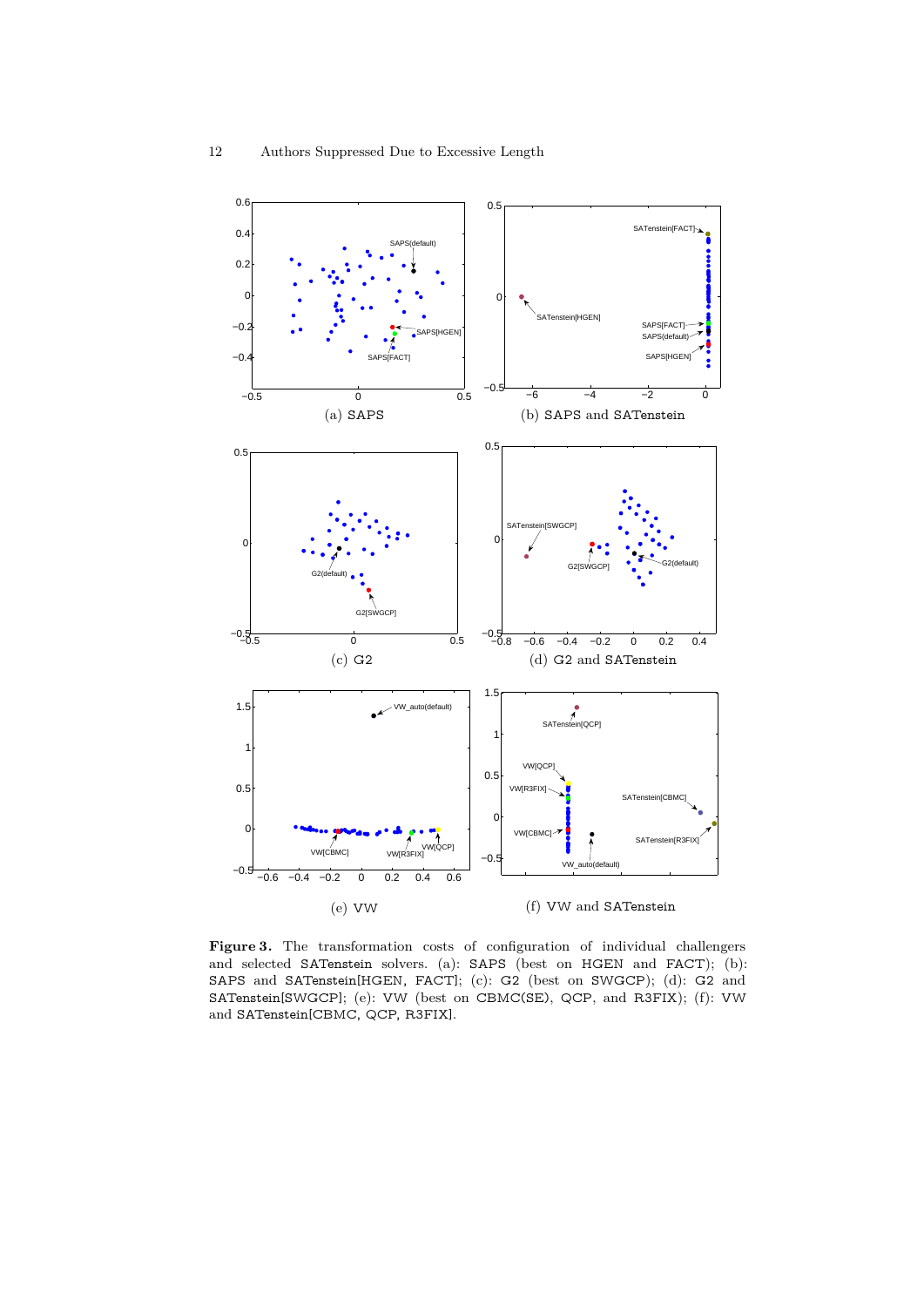<span id="page-11-1"></span><span id="page-11-0"></span>

**Figure 3.** The transformation costs of configuration of individual challengers and selected SATenstein solvers. (a): SAPS (best on HGEN and FACT); (b): SAPS and SATenstein[HGEN, FACT]; (c): G2 (best on SWGCP); (d): G2 and SATenstein[SWGCP]; (e): VW (best on CBMC(SE), QCP, and R3FIX); (f): VW and SATenstein[CBMC, QCP, R3FIX].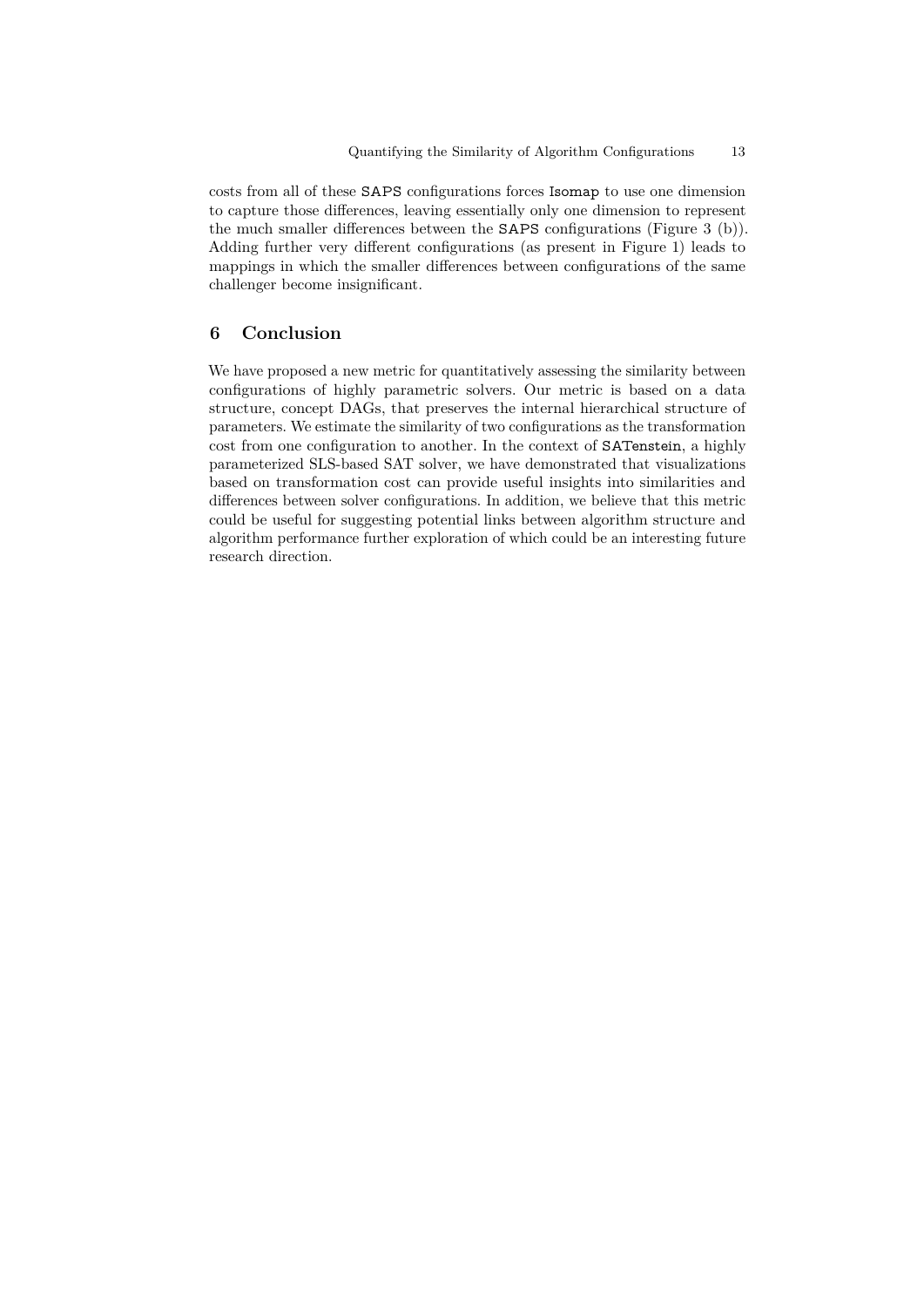costs from all of these SAPS configurations forces Isomap to use one dimension to capture those differences, leaving essentially only one dimension to represent the much smaller differences between the SAPS configurations (Figure [3](#page-11-0) (b)). Adding further very different configurations (as present in Figure [1\)](#page-8-0) leads to mappings in which the smaller differences between configurations of the same challenger become insignificant.

### **6 Conclusion**

We have proposed a new metric for quantitatively assessing the similarity between configurations of highly parametric solvers. Our metric is based on a data structure, concept DAGs, that preserves the internal hierarchical structure of parameters. We estimate the similarity of two configurations as the transformation cost from one configuration to another. In the context of SATenstein, a highly parameterized SLS-based SAT solver, we have demonstrated that visualizations based on transformation cost can provide useful insights into similarities and differences between solver configurations. In addition, we believe that this metric could be useful for suggesting potential links between algorithm structure and algorithm performance further exploration of which could be an interesting future research direction.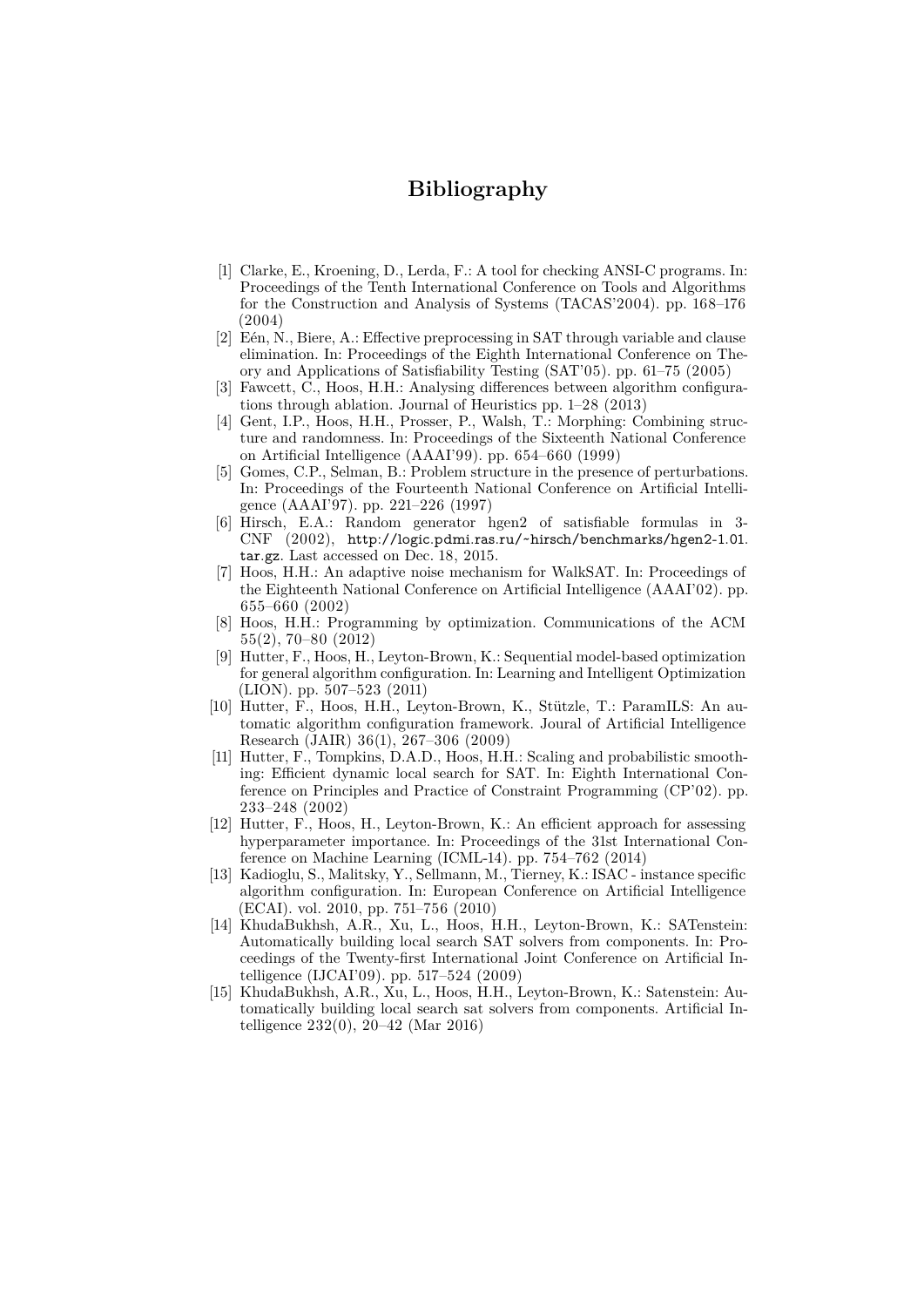## **Bibliography**

- <span id="page-13-13"></span>[1] Clarke, E., Kroening, D., Lerda, F.: A tool for checking ANSI-C programs. In: Proceedings of the Tenth International Conference on Tools and Algorithms for the Construction and Analysis of Systems (TACAS'2004). pp. 168–176 (2004)
- <span id="page-13-14"></span>[2] Eén, N., Biere, A.: Effective preprocessing in SAT through variable and clause elimination. In: Proceedings of the Eighth International Conference on Theory and Applications of Satisfiability Testing (SAT'05). pp. 61–75 (2005)
- <span id="page-13-6"></span>[3] Fawcett, C., Hoos, H.H.: Analysing differences between algorithm configurations through ablation. Journal of Heuristics pp. 1–28 (2013)
- <span id="page-13-11"></span>[4] Gent, I.P., Hoos, H.H., Prosser, P., Walsh, T.: Morphing: Combining structure and randomness. In: Proceedings of the Sixteenth National Conference on Artificial Intelligence (AAAI'99). pp. 654–660 (1999)
- <span id="page-13-10"></span>[5] Gomes, C.P., Selman, B.: Problem structure in the presence of perturbations. In: Proceedings of the Fourteenth National Conference on Artificial Intelligence (AAAI'97). pp. 221–226 (1997)
- <span id="page-13-12"></span>[6] Hirsch, E.A.: Random generator hgen2 of satisfiable formulas in 3- CNF (2002), [http://logic.pdmi.ras.ru/~hirsch/benchmarks/hgen2-1.01.](http://logic.pdmi.ras.ru/~hirsch/benchmarks/hgen2-1.01.tar.gz) [tar.gz](http://logic.pdmi.ras.ru/~hirsch/benchmarks/hgen2-1.01.tar.gz). Last accessed on Dec. 18, 2015.
- <span id="page-13-8"></span>[7] Hoos, H.H.: An adaptive noise mechanism for WalkSAT. In: Proceedings of the Eighteenth National Conference on Artificial Intelligence (AAAI'02). pp. 655–660 (2002)
- <span id="page-13-1"></span>[8] Hoos, H.H.: Programming by optimization. Communications of the ACM 55(2), 70–80 (2012)
- <span id="page-13-4"></span>[9] Hutter, F., Hoos, H., Leyton-Brown, K.: Sequential model-based optimization for general algorithm configuration. In: Learning and Intelligent Optimization (LION). pp. 507–523 (2011)
- <span id="page-13-3"></span>[10] Hutter, F., Hoos, H.H., Leyton-Brown, K., Stützle, T.: ParamILS: An automatic algorithm configuration framework. Joural of Artificial Intelligence Research (JAIR) 36(1), 267–306 (2009)
- <span id="page-13-9"></span>[11] Hutter, F., Tompkins, D.A.D., Hoos, H.H.: Scaling and probabilistic smoothing: Efficient dynamic local search for SAT. In: Eighth International Conference on Principles and Practice of Constraint Programming (CP'02). pp. 233–248 (2002)
- <span id="page-13-5"></span>[12] Hutter, F., Hoos, H., Leyton-Brown, K.: An efficient approach for assessing hyperparameter importance. In: Proceedings of the 31st International Conference on Machine Learning (ICML-14). pp. 754–762 (2014)
- <span id="page-13-2"></span>[13] Kadioglu, S., Malitsky, Y., Sellmann, M., Tierney, K.: ISAC - instance specific algorithm configuration. In: European Conference on Artificial Intelligence (ECAI). vol. 2010, pp. 751–756 (2010)
- <span id="page-13-0"></span>[14] KhudaBukhsh, A.R., Xu, L., Hoos, H.H., Leyton-Brown, K.: SATenstein: Automatically building local search SAT solvers from components. In: Proceedings of the Twenty-first International Joint Conference on Artificial Intelligence (IJCAI'09). pp. 517–524 (2009)
- <span id="page-13-7"></span>[15] KhudaBukhsh, A.R., Xu, L., Hoos, H.H., Leyton-Brown, K.: Satenstein: Automatically building local search sat solvers from components. Artificial Intelligence 232(0), 20–42 (Mar 2016)